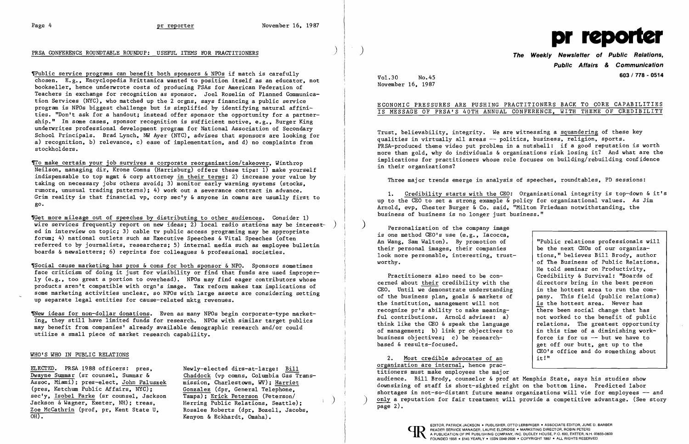## PRSA CONFERENCE ROUNDTABLE ROUNDUP: USEFUL ITEMS FOR PRACTITIONERS **DEVILLED ACCOMPLISH CONFERENCE ROUNDTABLE ROUNDIP:** USEFUL ITEMS FOR PRACTITIONERS



,Public service programs can benefit both sponsors &NPOs if match is carefully chosen. E.g., Encyclopedia Brittanica wanted to position itself as an educator, not bookseller, hence underwrote costs of producing PSAs for American Federation of Teachers in exchange for recognition as sponsor. Joel Roselin of Planned Communication Services (NYC), who matched up the 2 orgns, says financing a public service program is NPOs biggest challenge but is simplified by identifying natural affinities. "Don't ask for a handout; instead offer sponsor the opportunity for a partnership." In some cases, sponsor recognition is sufficient motive, e.g., Burger King underwrites professional development program for National Association of Secondary School Principals. Brad Lynch, NW Ayer (NYC), advises that sponsors are looking for a) recognition, b) relevance, c) ease of implementation, and d) no complaints from stockholders.

To make certain your job survives a corporate reorganization/takeover, Winthrop Neilson, managing dir, Krone Comns (Harrisburg) offers these tips: 1) make yourself indispensable to top mgmt & corp attorney in their terms; 2) increase your value by taking on necessary jobs others avoid; 3) monitor early warning systems (stocks, rumors, unusual trading patterns); 4) work out a severance contract in advance. Grim reality is that financial vp, corp sec'y  $\&$  anyone in comns are usually first to go.

ELECTED. PRSA 1988 officers: pres, Dwayne Summar (sr counsel, Summar & Assoc, Miami); pres-elect, John Paluszek (pres, Ketchum Public Affairs, NYC); sec'y, Isobel Parke (sr counsel, Jackson Jackson & Wagner, Exeter, NH); treas, Zoe McCathrin (prof, pr, Kent State U,  $\overline{OH}$ ).

Newly-elected dirs-at-Iarge: Bill Chaddock (vp comns, Columbia Gas Transmission. Charlestown, WV); Harriet Gonzalez (dpr, General Telephone, Tampa); Erick Peterson (Peterson/<br>Herring Public Relations, Seattle); Rosalee Roberts (dpr, Bozell, Jacobs, Kenyon & Eckhardt, Omaha).

'Get more mileage out of speeches by distributing to other audiences. Consider 1) wire services frequently report on new ideas; 2) local radio stations may be interested in interview on topic; 3) cable tv public access programing may be appropriate forum: 4) national outlets such as Executive Speeches & Vital Speeches (often referred to by journalists, researchers; 5) internal media such as employee bulletin boards &newsletters; 6) reprints for colleagues & professional societies.

Arnold, evp, Chester Burger & Co. said, "Milton Friedman notwithstanding, the business of business is no longer just business."

'Social cause marketing has pros & cons for both sponsor &NPO. Sponsors sometimes face criticism of doing it just for visibility or find that funds are used improperly (e.g., too great a portion to overhead). NPOs may find eager contributors whose products aren't compatible with orgn's image. Tax reform makes tax implications of some marketing activities unclear, so NPOs with large assets are considering setting up separate legal entities for cause-related mktg revenues.

|               | "Public relations professionals will |
|---------------|--------------------------------------|
|               | be the next CEOs of our organiza-    |
| st-           | tions," believes Bill Brody, author  |
|               | of The Business of Public Relations. |
|               | He told seminar on Productivity,     |
|               | Credibility & Survival: "Boards of   |
| e.            | directors bring in the best person   |
| ng            | in the hottest area to run the com-  |
| οf            | pany. This field (public relations)  |
|               | is the hottest area. Never has       |
|               | there been social change that has    |
| $\mathcal{C}$ | not worked to the benefit of public  |
| e.            | relations. The greatest opportunity  |
| to            | in this time of a diminishing work-  |
|               | force is for us $-$ but we have to   |
|               | get off our butt, get up to the      |
|               | CEO's office and do something about  |
|               | it!"                                 |
|               |                                      |

~ew ideas for non-dollar donations. Even as many NPOs begin corporate-type marketing, they still have limited funds for research. NPOs with similar target publics may benefit from companies' already available demographic research and/or could utilize a small piece of market research capability.

### WHO'S WHO IN PUBLIC RELATIONS

# **Public Affairs & Communication**  Vol.30 No.45 **603/778 - 0514**

1. Credibility starts with the CEO: Organizational integrity is top-down & it's up to the  $\overline{CD}$  to set a strong example  $\overline{\&}$  policy for organizational values. As Jim

November 16, 1987

### ECONOMIC PRESSURES ARE PUSHING PRACTITIONERS BACK TO CORE CAPABILITIES IS MESSAGE OF PRSA'S 40TH ANNUAL CONFERENCE, WITH THEME OF CREDIBILITY

Trust, believability, integrity. We are witnessing a squandering of these key qualities in virtually all areas -- politics, business, religion, sports. PRSA-produced theme video put problem in a nutshell: if a good reputation is worth more than gold, why do individuals & organizations risk losing it? And what are the implications for practitioners whose role focuses on building/rebuilding confidence in their organizations?

Three major trends emerge in analysis of speeches, roundtables, PD sessions:

) Personalization of the company image is one method CEO's use (e.g., Iacocca, An Wang, Sam Walton). By promotion of their personal images, their companies look more personable, interesting, trus worthy.

Practitioners also need to be concerned about their credibility with the CEO. Until we demonstrate understanding of the business plan, goals  $\&$  markets the institution, management will not recognize pr's ability to make meaningful contributions. Arnold advises: a) think like the CEO & speak the language of management; b) link  $pr$  objectives business objectives; c) be researchbased & results-focused.

2. Most credible advocates of an organization are internal, hence practitioners must make employees the major audience. Bill Brody, counselor & prof at Memphis State, says his studies show downsizing of staff is short-sighted right on the bottom line. Predicted labor shortages in not-so-distant future means organizations will vie for employees -- and only a reputation for fair treatment will provide a competitive advantage. (See story page 2).